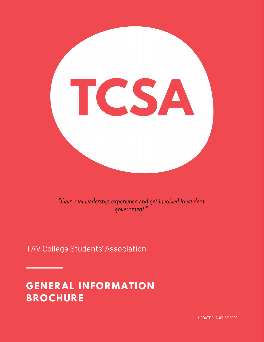

"Gain real leadership experience and get involved in student government!"

TAV College Students' Association

# **GENERAL INFORMATION BROCHURE**

UPDATED: AUGUST 2020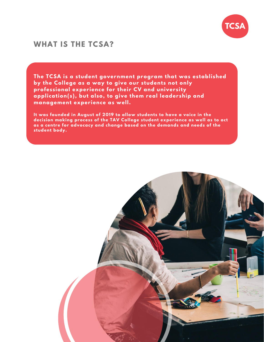

### **WHAT IS THE TCSA?**

**The TCSA is a student government program that was established by the College as a way to give our students not only professional experience for their CV and university application(s) , but also, to give them real leadership and management experience as well.**

**It was founded in August of 2019 to allow students to have a voice in the decision making process of the TAV College student experience as well as to act as a centre for advocacy and change based on the demands and needs of the student body.**

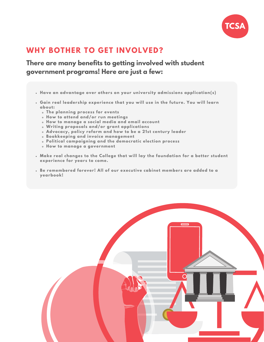

## **WHY BOTHER TO GET INVOLVED?**

### **There are many benefits to getting involved with student government programs! Here are just a few:**

- **Have an advantage over others on your university admissions application(s)**
- **Gain real leadership experience that you will use in the future. You will learn about:**
	- **The planning process for events**
	- **How to attend and/or run meetings**
	- **How to manage a social media and email account**
	- **Writing proposals and/or grant applications**
	- **Advocacy, policy reform and how to be a 21st century leader**
	- **Bookkeeping and invoice management**
	- **Political campaigning and the democratic election process**
	- **How to manage a government**
- **Make real changes to the College that will lay the foundation for a better student experience for years to come.**
- **Be remembered forever! All of our executive cabinet members are added to a yearbook!**

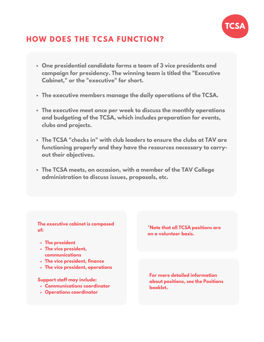

# **HOW DOES THE TCSA FUNCTION?**

- **One presidential candidate forms a team of 3 vice presidents and campaign for presidency. The winning team is titled the "Executive Cabinet, " or the "executive" for short.**
- **The executive members manage the daily operations of the TCSA.**
- **The executive meet once per week to discuss the monthly operations and budgeting of the TCSA, which includes preparation for events, clubs and projects.**
- **The TCSA "checks in" with club leaders to ensure the clubs at TAV are functioning properly and they have the resources necessary to carryout their objectives.**
- **The TCSA meets, on occasion, with a member of the TAV College administration to discuss issues, proposals, etc.**

#### **The executive cabinet is composed of:**

- **The president**
- **The vice president, communications**
- **The vice president, finance**
- **The vice president, operations**

#### **Support staff may include:**

- **Communications coordinator**
- **Operations coordinator**

**\*Note that all TCSA positions are on a volunteer basis.**

**For more detailed information about positions, see the Positions booklet.**